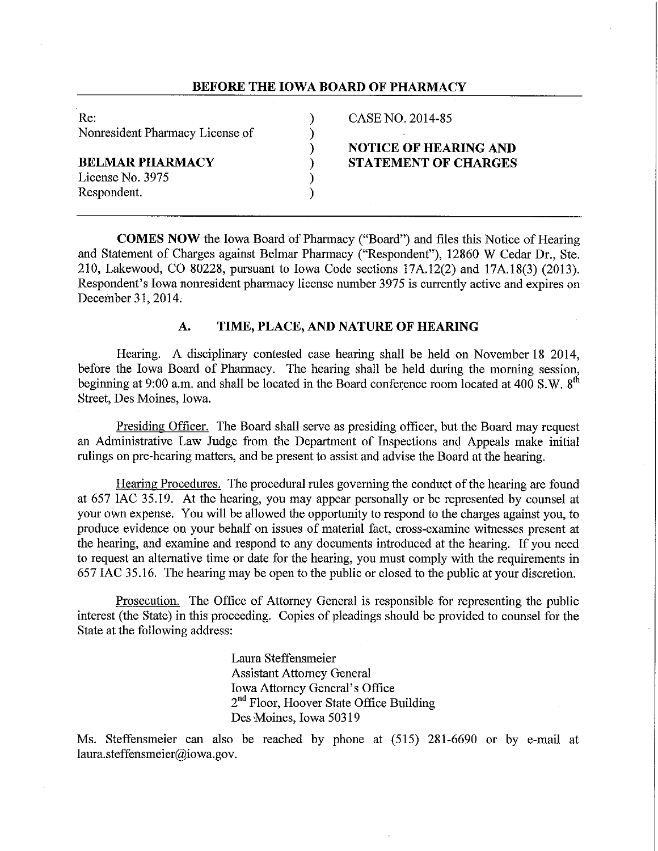## **BEFORE THE IOWA BOARD OF PHARMACY**

| Re.                             | CASE NO. 2014-85             |
|---------------------------------|------------------------------|
| Nonresident Pharmacy License of |                              |
|                                 | <b>NOTICE OF HEARING AND</b> |
| BELMAR PHARMACY                 | <b>STATEMENT OF CHARGES</b>  |
| License No. 3975                |                              |
| Respondent.                     |                              |
|                                 |                              |

**COMES NOW** the Iowa Board of Pharmacy ("Board") and files this Notice of Hearing and Statement of Charges against Belmar Pharmacy ("Respondent"), 12860 W Cedar Dr., Ste. 210, Lakewood, CO 80228, pursuant to Iowa Code sections 17A.12(2) and 17A.18(3) (2013). Respondent's Iowa nonresident pharmacy license number 3975 is currently active and expires on December 31, 2014,

# **A. TIME, PLACE, AND NATURE OF HEARING**

Hearing. A disciplinary contested case hearing shall be held on November 18 2014, before the Iowa Board of Pharmacy. The hearing shall be held during the morning session, beginning at 9:00 a.m. and shall be located in the Board conference room located at 400 S.W. 8<sup>th</sup> Street, Des Moines, Iowa.

Presiding Officer. The Board shall serve as presiding officer, but the Board may request an Administrative Law Judge from the Department of Inspections and Appeals make initial rulings on pre-hearing matters, and be present to assist and advise the Board at the hearing.

Hearing Procedures. The procedural rules governing the conduct of the hearing are found at 657 IAC 35.19. At the hearing, you may appear personally or be represented by counsel at your own expense. You will be allowed the opportunity to respond to the charges against you, to produce evidence on your behalf on issues of material fact, cross-examine witnesses present at the hearing, and examine and respond to any documents introduced at the hearing. If you need to request an alternative time or date for the hearing, you must comply with the requirements in 657 IAC 35.16. The hearing may be open to the public or closed to the public at your discretion.

Prosecution. The Office of Attorney General is responsible for representing the public interest (the State) in this proceeding. Copies of pleadings should be provided to counsel for the State at the following address:

> Laura Steffensmeier Assistant Attorney General Iowa Attorney General's Office 2<sup>nd</sup> Floor, Hoover State Office Building Des Moines, Iowa 50319

Ms. Steffensmeier can also be reached by phone at (515) 281-6690 or by e-mail at laura.steffensmeier@iowa.gov.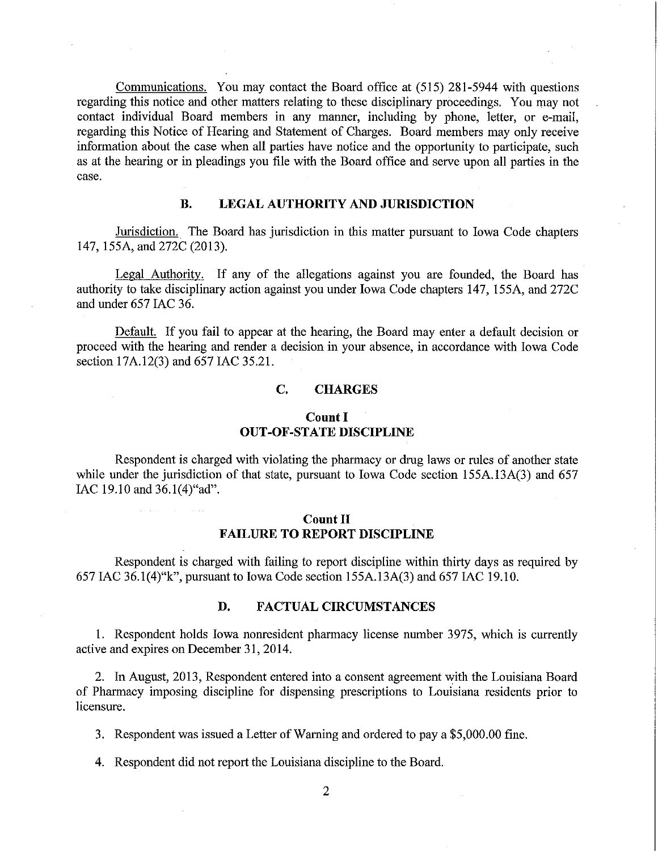Communications. You may contact the Board office at (515) 281-5944 with questions regarding this notice and other matters relating to these disciplinary proceedings. You may not contact individual Board members in any manner, including by phone, letter, or e-mail, regarding this Notice of Hearing and Statement of Charges. Board members may only receive information about the case when all patties have notice and the opportunity to participate, such as at the hearing or in pleadings you file with the Board office and serve upon all parties in the case.

# **B. LEGAL AUTHORITY AND JURISDICTION**

Jurisdiction.. The Board has jurisdiction in this matter pursuant to Iowa Code chapters 147, !SSA, and 272C (2013).

Legal Authority. If any of the allegations against you are founded, the Board has authority to take disciplinary action against you under Iowa Code chapters 147, !SSA, and 272C and under 657 IAC 36.

Default. If you fail to appear at the hearing, the Board may enter a default decision or proceed with the hearing and render a decision in your absence, in accordance with Iowa Code section 17A.12(3) and 657 IAC 35.21.

### **C. CHARGES**

## **Count I OUT-OF-STATE DISCIPLINE**

Respondent is charged with violating the pharmacy or drug laws or rules of another state while under the jurisdiction of that state, pursuant to Iowa Code section 155A, 13A(3) and 657 IAC 19.10 and 36.1(4)"ad".

# **Count II FAILURE TO REPORT DISCIPLINE**

Respondent is charged with failing to report discipline within thirty days as required by 657 IAC 36.1(4)"k", pursuant to Iowa Code section 155A.13A(3) and 657 IAC 19.10.

## **D. FACTUAL CIRCUMSTANCES**

!. Respondent holds Iowa nonresident pharmacy license number 3975, which is currently active and expires on December 31, 2014.

2. In August, 2013, Respondent entered into a consent agreement with the Louisiana Board of Pharmacy imposing discipline for dispensing prescriptions to Louisiana residents prior to Iicensure.

3. Respondent was issued a Letter of Warning and ordered to pay a \$5,000.00 fine.

4. Respondent did not report the Louisiana discipline to the Board.

2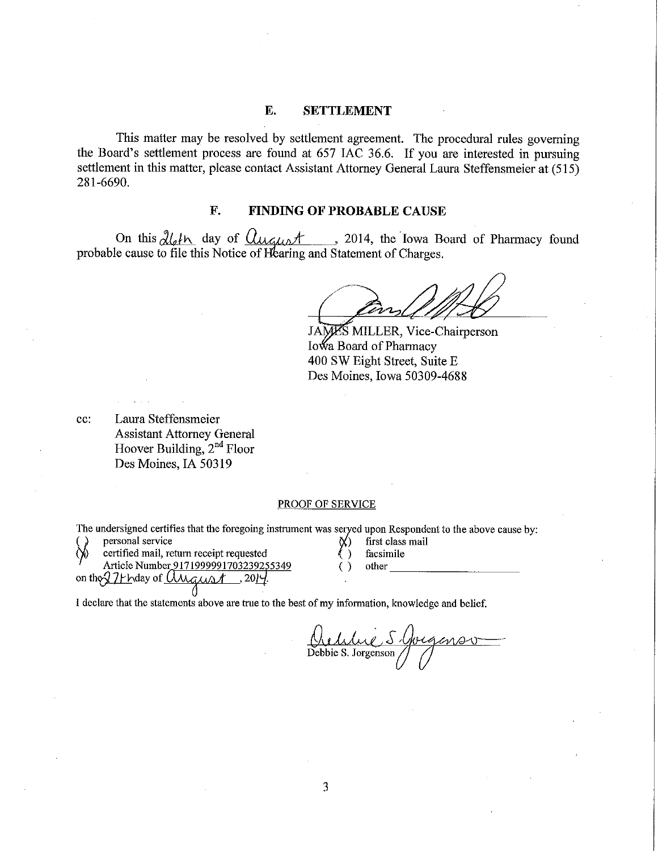#### **E. SETTLEMENT**

This matter may be resolved by settlement agreement. The procedural rules governing the Board's settlement process are found at 657 IAC 36.6. If you are interested in pursuing settlement in this matter, please contact Assistant Attorney General Laura Steffensmeier at (515) 281-6690.

# **F. FINDING OF PROBABLE CAUSE**

On this  $\partial l_4 h$  day of  $\partial u_4$ ,  $\partial l_1$ , the Iowa Board of Pharmacy found probable cause to file this Notice of Hearing and Statement of Charges.

JAMES MILLER, Vice-Chairperson Iowa Board of Pharmacy 400 SW Eight Street, Suite E Des Moines, Iowa 50309-4688

cc: Laura Steffensmeier Assistant Attorney General Hoover Building, 2<sup>nd</sup> Floor Des Moines, IA 50319

#### PROOF OF SERVICE

The undersigned certifies that the foregoing instrument was served upon Respondent to the above cause by:<br>(b) personal service  $\chi$  first class mail

- 
- certified mail, return receipt requested  $\ell$  ) facsimile
- Article Number 9 l 7 l 999991703239255349
- Article Number 9171999991703239255349 ()<br>on the 271 h day of  $0.0024$ , 2014.
- 
- 
- . other \_\_\_\_\_\_\_\_\_

I declare that the statements above are true to the best of my information, knowledge and belief.

Orthue S.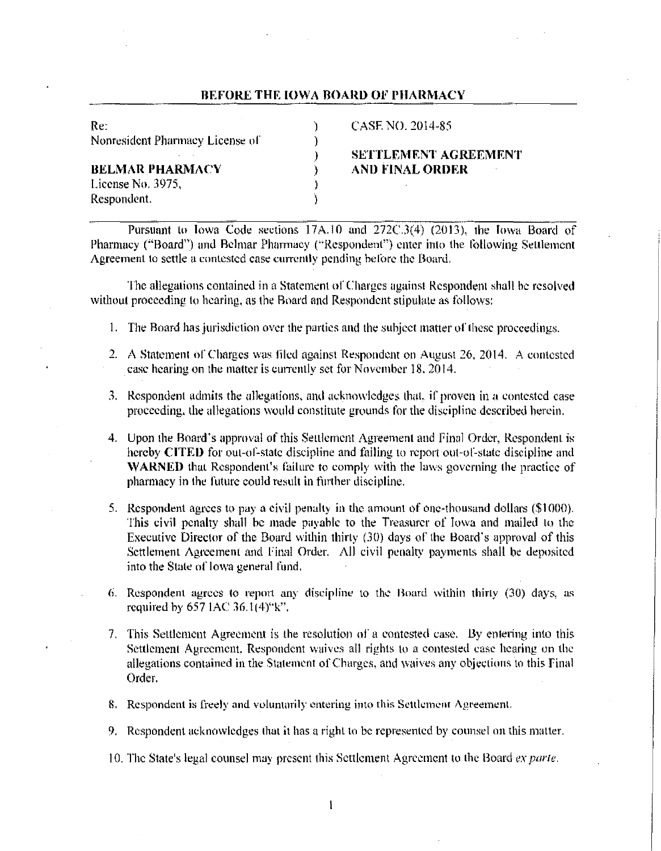#### **BEFORE THE IOWA BOARD OF PHARMACY**

| Re:                             |  |
|---------------------------------|--|
| Nonresident Pharmacy License of |  |
|                                 |  |
| <b>BELMAR PHARMACY</b>          |  |
| License No. 3975,               |  |
| Respondent.                     |  |

CASE NO. 2014-85

# ) **SETTLEMENT AGREEMENT BELMAR PHARMACY** ) **AND FINAL ORDER**

Pursuant to Iowa Code sections 17A.10 and 272C.3(4) (2013), the Iowa Board of Pharmacy ("Board") and Belmar Pharmacy ('"Respondent") enter inlo the lollowing Settlement Agreement to settle a contested case currently pending before the Board.

The allegations contained in a Statement of Charges against Respondent shall be resolved without proceeding to hearing, as the Board and Respondent stipulate as follows:

- I. The Board has jurisdiction over the parties and the subject matter ol' these proceedings.
- 2. A Statement of Charges was filed against Respondent on August 26, 2014. A contested case hearing on the matter is currently set for November 18, 2014.
- 3. Respondent admits the allegations, and acknowledges that, if proven in a contested case proceeding, the allegations would constitute grounds for the discipline described herein.
- 4. Upon the Board's approval of this Settlement Agreement and Final Order, Respondent is hereby **CITED** for out-of-state discipline and failing to report out-of-state discipline and **WARNED** that Respondent's failure to comply with the laws governing the practice of pharmacy in the future could result in further discipline.
- 5. Respondent agrees to pay a civil penalty in the amount of one-thousand dollars (\$1000). This civil penalty shall be made payable to the Treasurer of Iowa and mailed to the Executive Director of the Board within thirty (30) days of the Board's approval of this Settlement Agreement and Final Order. All civil penalty payments shall be deposited into the Stale of Iowa general fund.
- 6. Respondent agrees to report any discipline to the Board within thirty  $(30)$  days, as required hy 657 IAC 36.1(4)"k".
- 7. This Settlement Agreement is the resolution of a contested case. 13y entering into this Settlement Agreement. Respondent waives all rights to a contested case hearing on lhc allegations contained in the Statement of Charges, and waives any objections to this final Order.
- 8. Respondent is freely and voluntarily entering into this Settlement Agreement.
- 9. Respondent acknowledges that it has a right to be represented by counsel on this matter.
- 10. The State's legal counsel may present this Settlement Agreement to the Board *ex parte*.